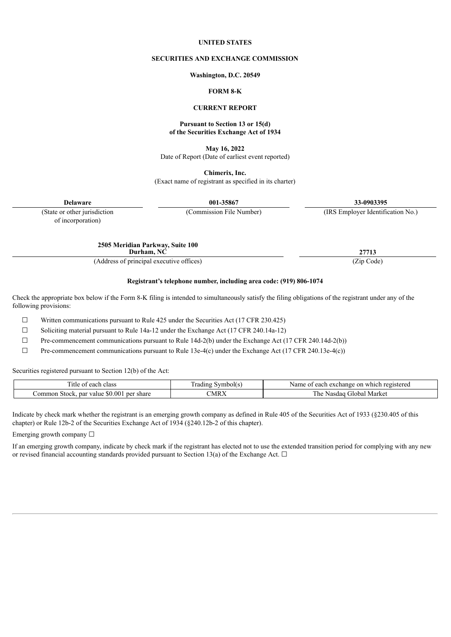#### **UNITED STATES**

#### **SECURITIES AND EXCHANGE COMMISSION**

**Washington, D.C. 20549**

#### **FORM 8-K**

#### **CURRENT REPORT**

#### **Pursuant to Section 13 or 15(d) of the Securities Exchange Act of 1934**

**May 16, 2022** Date of Report (Date of earliest event reported)

**Chimerix, Inc.** (Exact name of registrant as specified in its charter)

**Delaware 001-35867 33-0903395**

(State or other jurisdiction (Commission File Number) (IRS Employer Identification No.)

of incorporation)

**2505 Meridian Parkway, Suite 100**

**Durham, NC 27713** (Address of principal executive offices) (Zip Code)

**Registrant's telephone number, including area code: (919) 806-1074**

Check the appropriate box below if the Form 8-K filing is intended to simultaneously satisfy the filing obligations of the registrant under any of the following provisions:

 $\Box$  Written communications pursuant to Rule 425 under the Securities Act (17 CFR 230.425)

 $\Box$  Soliciting material pursuant to Rule 14a-12 under the Exchange Act (17 CFR 240.14a-12)

 $\Box$  Pre-commencement communications pursuant to Rule 14d-2(b) under the Exchange Act (17 CFR 240.14d-2(b))

 $\Box$  Pre-commencement communications pursuant to Rule 13e-4(c) under the Exchange Act (17 CFR 240.13e-4(c))

Securities registered pursuant to Section 12(b) of the Act:

| . itle<br>each class<br>. OT                                                     | $\overline{\phantom{a}}$<br>wm<br>radıng<br>mpolts | Name<br>registereg<br>on<br>$\Delta$<br>. exchange<br>which<br>cacij |
|----------------------------------------------------------------------------------|----------------------------------------------------|----------------------------------------------------------------------|
| $\Omega$<br>ሐ ለ<br>per share<br>ommon<br>par value<br>Stock.<br>w<br>$_{\rm 50}$ | CMRX                                               | Market<br>tlobal<br>. he<br>dao.<br>ND<br>.18 <sup>o</sup>           |

Indicate by check mark whether the registrant is an emerging growth company as defined in Rule 405 of the Securities Act of 1933 (§230.405 of this chapter) or Rule 12b-2 of the Securities Exchange Act of 1934 (§240.12b-2 of this chapter).

Emerging growth company ☐

If an emerging growth company, indicate by check mark if the registrant has elected not to use the extended transition period for complying with any new or revised financial accounting standards provided pursuant to Section 13(a) of the Exchange Act.  $\Box$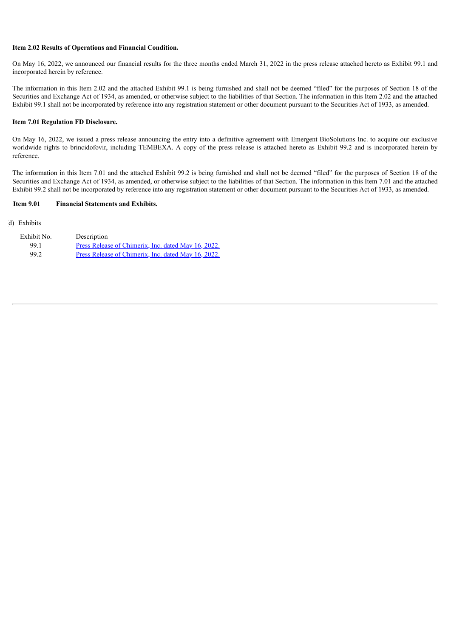### **Item 2.02 Results of Operations and Financial Condition.**

On May 16, 2022, we announced our financial results for the three months ended March 31, 2022 in the press release attached hereto as Exhibit 99.1 and incorporated herein by reference.

The information in this Item 2.02 and the attached Exhibit 99.1 is being furnished and shall not be deemed "filed" for the purposes of Section 18 of the Securities and Exchange Act of 1934, as amended, or otherwise subject to the liabilities of that Section. The information in this Item 2.02 and the attached Exhibit 99.1 shall not be incorporated by reference into any registration statement or other document pursuant to the Securities Act of 1933, as amended.

### **Item 7.01 Regulation FD Disclosure.**

On May 16, 2022, we issued a press release announcing the entry into a definitive agreement with Emergent BioSolutions Inc. to acquire our exclusive worldwide rights to brincidofovir, including TEMBEXA. A copy of the press release is attached hereto as Exhibit 99.2 and is incorporated herein by reference.

The information in this Item 7.01 and the attached Exhibit 99.2 is being furnished and shall not be deemed "filed" for the purposes of Section 18 of the Securities and Exchange Act of 1934, as amended, or otherwise subject to the liabilities of that Section. The information in this Item 7.01 and the attached Exhibit 99.2 shall not be incorporated by reference into any registration statement or other document pursuant to the Securities Act of 1933, as amended.

#### **Item 9.01 Financial Statements and Exhibits.**

#### (d) Exhibits

| Exhibit No. | Description                                         |
|-------------|-----------------------------------------------------|
| 99.1        | Press Release of Chimerix, Inc. dated May 16, 2022. |
| 99.2        | Press Release of Chimerix, Inc. dated May 16, 2022. |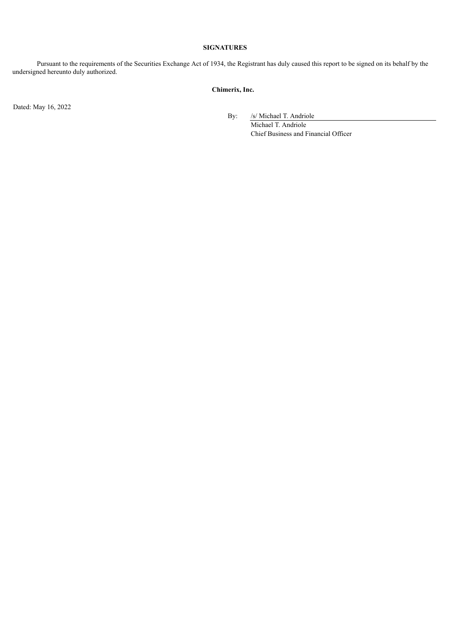### **SIGNATURES**

Pursuant to the requirements of the Securities Exchange Act of 1934, the Registrant has duly caused this report to be signed on its behalf by the undersigned hereunto duly authorized.

## **Chimerix, Inc.**

Dated: May 16, 2022

By: /s/ Michael T. Andriole

Michael T. Andriole Chief Business and Financial Officer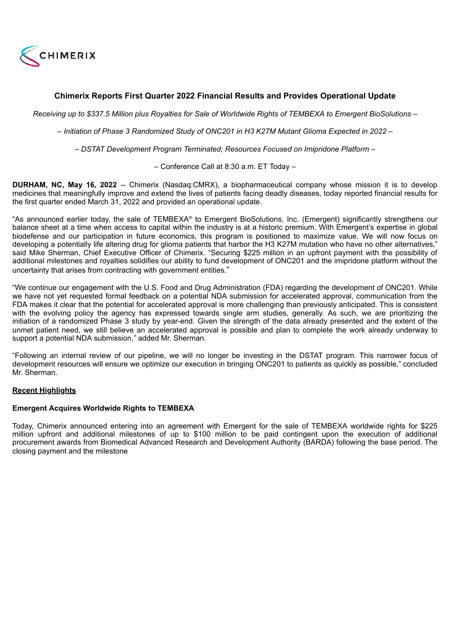<span id="page-3-0"></span>

# **Chimerix Reports First Quarter 2022 Financial Results and Provides Operational Update**

Receiving up to \$337.5 Million plus Royalties for Sale of Worldwide Rights of TEMBEXA to Emergent BioSolutions -

*– Initiation of Phase 3 Randomized Study of ONC201 in H3 K27M Mutant Glioma Expected in 2022 –*

*– DSTAT Development Program Terminated; Resources Focused on Imipridone Platform –*

– Conference Call at 8:30 a.m. ET Today –

**DURHAM, NC, May 16, 2022** -- Chimerix (Nasdaq:CMRX), a biopharmaceutical company whose mission it is to develop medicines that meaningfully improve and extend the lives of patients facing deadly diseases, today reported financial results for the first quarter ended March 31, 2022 and provided an operational update.

"As announced earlier today, the sale of TEMBEXA® to Emergent BioSolutions, Inc. (Emergent) significantly strengthens our balance sheet at a time when access to capital within the industry is at a historic premium. With Emergent's expertise in global biodefense and our participation in future economics, this program is positioned to maximize value. We will now focus on developing a potentially life altering drug for glioma patients that harbor the H3 K27M mutation who have no other alternatives," said Mike Sherman, Chief Executive Officer of Chimerix. "Securing \$225 million in an upfront payment with the possibility of additional milestones and royalties solidifies our ability to fund development of ONC201 and the imipridone platform without the uncertainty that arises from contracting with government entities."

"We continue our engagement with the U.S. Food and Drug Administration (FDA) regarding the development of ONC201. While we have not yet requested formal feedback on a potential NDA submission for accelerated approval, communication from the FDA makes it clear that the potential for accelerated approval is more challenging than previously anticipated. This is consistent with the evolving policy the agency has expressed towards single arm studies, generally. As such, we are prioritizing the initiation of a randomized Phase 3 study by year-end. Given the strength of the data already presented and the extent of the unmet patient need, we still believe an accelerated approval is possible and plan to complete the work already underway to support a potential NDA submission," added Mr. Sherman.

"Following an internal review of our pipeline, we will no longer be investing in the DSTAT program. This narrower focus of development resources will ensure we optimize our execution in bringing ONC201 to patients as quickly as possible," concluded Mr. Sherman.

## **Recent Highlights**

## **Emergent Acquires Worldwide Rights to TEMBEXA**

Today, Chimerix announced entering into an agreement with Emergent for the sale of TEMBEXA worldwide rights for \$225 million upfront and additional milestones of up to \$100 million to be paid contingent upon the execution of additional procurement awards from Biomedical Advanced Research and Development Authority (BARDA) following the base period. The closing payment and the milestone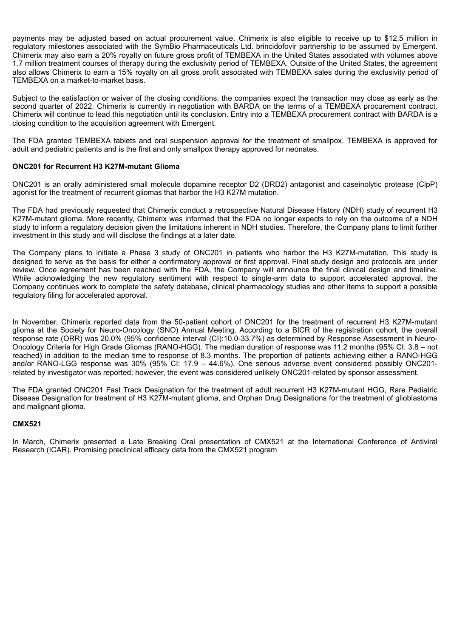payments may be adjusted based on actual procurement value. Chimerix is also eligible to receive up to \$12.5 million in regulatory milestones associated with the SymBio Pharmaceuticals Ltd. brincidofovir partnership to be assumed by Emergent. Chimerix may also earn a 20% royalty on future gross profit of TEMBEXA in the United States associated with volumes above 1.7 million treatment courses of therapy during the exclusivity period of TEMBEXA. Outside of the United States, the agreement also allows Chimerix to earn a 15% royalty on all gross profit associated with TEMBEXA sales during the exclusivity period of TEMBEXA on a market-to-market basis.

Subject to the satisfaction or waiver of the closing conditions, the companies expect the transaction may close as early as the second quarter of 2022. Chimerix is currently in negotiation with BARDA on the terms of a TEMBEXA procurement contract. Chimerix will continue to lead this negotiation until its conclusion. Entry into a TEMBEXA procurement contract with BARDA is a closing condition to the acquisition agreement with Emergent.

The FDA granted TEMBEXA tablets and oral suspension approval for the treatment of smallpox. TEMBEXA is approved for adult and pediatric patients and is the first and only smallpox therapy approved for neonates.

## **ONC201 for Recurrent H3 K27M-mutant Glioma**

ONC201 is an orally administered small molecule dopamine receptor D2 (DRD2) antagonist and caseinolytic protease (ClpP) agonist for the treatment of recurrent gliomas that harbor the H3 K27M mutation.

The FDA had previously requested that Chimerix conduct a retrospective Natural Disease History (NDH) study of recurrent H3 K27M-mutant glioma. More recently, Chimerix was informed that the FDA no longer expects to rely on the outcome of a NDH study to inform a regulatory decision given the limitations inherent in NDH studies. Therefore, the Company plans to limit further investment in this study and will disclose the findings at a later date.

The Company plans to initiate a Phase 3 study of ONC201 in patients who harbor the H3 K27M-mutation. This study is designed to serve as the basis for either a confirmatory approval or first approval. Final study design and protocols are under review. Once agreement has been reached with the FDA, the Company will announce the final clinical design and timeline. While acknowledging the new regulatory sentiment with respect to single-arm data to support accelerated approval, the Company continues work to complete the safety database, clinical pharmacology studies and other items to support a possible regulatory filing for accelerated approval.

In November, Chimerix reported data from the 50-patient cohort of ONC201 for the treatment of recurrent H3 K27M-mutant glioma at the Society for Neuro-Oncology (SNO) Annual Meeting. According to a BICR of the registration cohort, the overall response rate (ORR) was 20.0% (95% confidence interval (CI):10.0-33.7%) as determined by Response Assessment in Neuro-Oncology Criteria for High Grade Gliomas (RANO-HGG). The median duration of response was 11.2 months (95% CI: 3.8 – not reached) in addition to the median time to response of 8.3 months. The proportion of patients achieving either a RANO-HGG and/or RANO-LGG response was 30% (95% CI: 17.9 – 44.6%). One serious adverse event considered possibly ONC201 related by investigator was reported; however, the event was considered unlikely ONC201-related by sponsor assessment.

The FDA granted ONC201 Fast Track Designation for the treatment of adult recurrent H3 K27M-mutant HGG, Rare Pediatric Disease Designation for treatment of H3 K27M-mutant glioma, and Orphan Drug Designations for the treatment of glioblastoma and malignant glioma.

## **CMX521**

In March, Chimerix presented a Late Breaking Oral presentation of CMX521 at the International Conference of Antiviral Research (ICAR). Promising preclinical efficacy data from the CMX521 program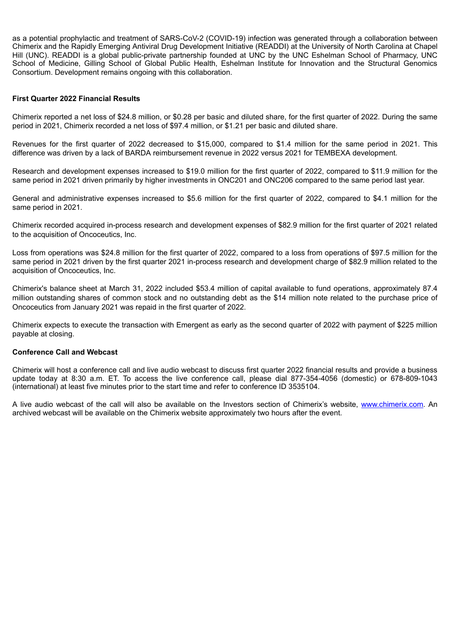as a potential prophylactic and treatment of SARS-CoV-2 (COVID-19) infection was generated through a collaboration between Chimerix and the Rapidly Emerging Antiviral Drug Development Initiative (READDI) at the University of North Carolina at Chapel Hill (UNC). READDI is a global public-private partnership founded at UNC by the UNC Eshelman School of Pharmacy, UNC School of Medicine, Gilling School of Global Public Health, Eshelman Institute for Innovation and the Structural Genomics Consortium. Development remains ongoing with this collaboration.

## **First Quarter 2022 Financial Results**

Chimerix reported a net loss of \$24.8 million, or \$0.28 per basic and diluted share, for the first quarter of 2022. During the same period in 2021, Chimerix recorded a net loss of \$97.4 million, or \$1.21 per basic and diluted share.

Revenues for the first quarter of 2022 decreased to \$15,000, compared to \$1.4 million for the same period in 2021. This difference was driven by a lack of BARDA reimbursement revenue in 2022 versus 2021 for TEMBEXA development.

Research and development expenses increased to \$19.0 million for the first quarter of 2022, compared to \$11.9 million for the same period in 2021 driven primarily by higher investments in ONC201 and ONC206 compared to the same period last year.

General and administrative expenses increased to \$5.6 million for the first quarter of 2022, compared to \$4.1 million for the same period in 2021.

Chimerix recorded acquired in-process research and development expenses of \$82.9 million for the first quarter of 2021 related to the acquisition of Oncoceutics, Inc.

Loss from operations was \$24.8 million for the first quarter of 2022, compared to a loss from operations of \$97.5 million for the same period in 2021 driven by the first quarter 2021 in-process research and development charge of \$82.9 million related to the acquisition of Oncoceutics, Inc.

Chimerix's balance sheet at March 31, 2022 included \$53.4 million of capital available to fund operations, approximately 87.4 million outstanding shares of common stock and no outstanding debt as the \$14 million note related to the purchase price of Oncoceutics from January 2021 was repaid in the first quarter of 2022.

Chimerix expects to execute the transaction with Emergent as early as the second quarter of 2022 with payment of \$225 million payable at closing.

### **Conference Call and Webcast**

Chimerix will host a conference call and live audio webcast to discuss first quarter 2022 financial results and provide a business update today at 8:30 a.m. ET. To access the live conference call, please dial 877-354-4056 (domestic) or 678-809-1043 (international) at least five minutes prior to the start time and refer to conference ID 3535104.

A live audio webcast of the call will also be available on the Investors section of Chimerix's website, www.chimerix.com. An archived webcast will be available on the Chimerix website approximately two hours after the event.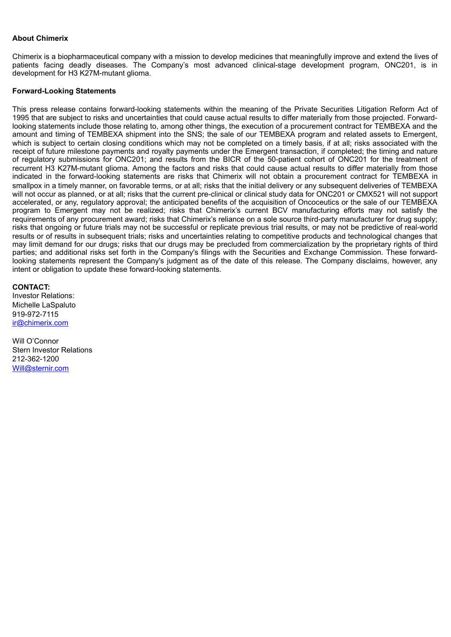## **About Chimerix**

Chimerix is a biopharmaceutical company with a mission to develop medicines that meaningfully improve and extend the lives of patients facing deadly diseases. The Company's most advanced clinical-stage development program, ONC201, is in development for H3 K27M-mutant glioma.

### **Forward-Looking Statements**

This press release contains forward-looking statements within the meaning of the Private Securities Litigation Reform Act of 1995 that are subject to risks and uncertainties that could cause actual results to differ materially from those projected. Forwardlooking statements include those relating to, among other things, the execution of a procurement contract for TEMBEXA and the amount and timing of TEMBEXA shipment into the SNS; the sale of our TEMBEXA program and related assets to Emergent, which is subject to certain closing conditions which may not be completed on a timely basis, if at all; risks associated with the receipt of future milestone payments and royalty payments under the Emergent transaction, if completed; the timing and nature of regulatory submissions for ONC201; and results from the BICR of the 50-patient cohort of ONC201 for the treatment of recurrent H3 K27M-mutant glioma. Among the factors and risks that could cause actual results to differ materially from those indicated in the forward-looking statements are risks that Chimerix will not obtain a procurement contract for TEMBEXA in smallpox in a timely manner, on favorable terms, or at all; risks that the initial delivery or any subsequent deliveries of TEMBEXA will not occur as planned, or at all; risks that the current pre-clinical or clinical study data for ONC201 or CMX521 will not support accelerated, or any, regulatory approval; the anticipated benefits of the acquisition of Oncoceutics or the sale of our TEMBEXA program to Emergent may not be realized; risks that Chimerix's current BCV manufacturing efforts may not satisfy the requirements of any procurement award; risks that Chimerix's reliance on a sole source third-party manufacturer for drug supply; risks that ongoing or future trials may not be successful or replicate previous trial results, or may not be predictive of real-world results or of results in subsequent trials; risks and uncertainties relating to competitive products and technological changes that may limit demand for our drugs; risks that our drugs may be precluded from commercialization by the proprietary rights of third parties; and additional risks set forth in the Company's filings with the Securities and Exchange Commission. These forwardlooking statements represent the Company's judgment as of the date of this release. The Company disclaims, however, any intent or obligation to update these forward-looking statements.

### **CONTACT:**

Investor Relations: Michelle LaSpaluto 919-972-7115 ir@chimerix.com

Will O'Connor Stern Investor Relations 212-362-1200 Will@sternir.com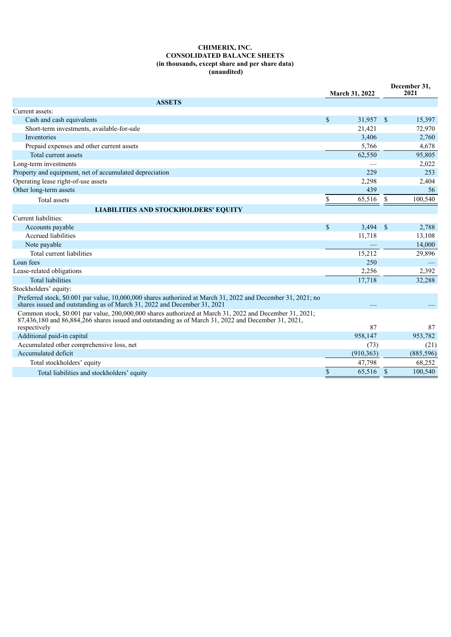### **CHIMERIX, INC. CONSOLIDATED BALANCE SHEETS (in thousands, except share and per share data) (unaudited)**

|                                                                                                                                                                                                                    |                    | <b>March 31, 2022</b> |               | December 31,<br>2021 |
|--------------------------------------------------------------------------------------------------------------------------------------------------------------------------------------------------------------------|--------------------|-----------------------|---------------|----------------------|
| <b>ASSETS</b>                                                                                                                                                                                                      |                    |                       |               |                      |
| Current assets:                                                                                                                                                                                                    |                    |                       |               |                      |
| Cash and cash equivalents                                                                                                                                                                                          | $\mathbf{\hat{S}}$ | 31,957                | <sup>\$</sup> | 15,397               |
| Short-term investments, available-for-sale                                                                                                                                                                         |                    | 21,421                |               | 72,970               |
| Inventories                                                                                                                                                                                                        |                    | 3,406                 |               | 2,760                |
| Prepaid expenses and other current assets                                                                                                                                                                          |                    | 5,766                 |               | 4,678                |
| Total current assets                                                                                                                                                                                               |                    | 62,550                |               | 95,805               |
| Long-term investments                                                                                                                                                                                              |                    |                       |               | 2,022                |
| Property and equipment, net of accumulated depreciation                                                                                                                                                            |                    | 229                   |               | 253                  |
| Operating lease right-of-use assets                                                                                                                                                                                |                    | 2,298                 |               | 2,404                |
| Other long-term assets                                                                                                                                                                                             |                    | 439                   |               | 56                   |
| Total assets                                                                                                                                                                                                       | \$                 | 65,516                | \$            | 100,540              |
| <b>LIABILITIES AND STOCKHOLDERS' EQUITY</b>                                                                                                                                                                        |                    |                       |               |                      |
| Current liabilities:                                                                                                                                                                                               |                    |                       |               |                      |
| Accounts payable                                                                                                                                                                                                   | \$                 | 3,494                 | <sup>\$</sup> | 2,788                |
| Accrued liabilities                                                                                                                                                                                                |                    | 11,718                |               | 13,108               |
| Note payable                                                                                                                                                                                                       |                    |                       |               | 14,000               |
| Total current liabilities                                                                                                                                                                                          |                    | 15,212                |               | 29,896               |
| Loan fees                                                                                                                                                                                                          |                    | 250                   |               |                      |
| Lease-related obligations                                                                                                                                                                                          |                    | 2,256                 |               | 2,392                |
| <b>Total liabilities</b>                                                                                                                                                                                           |                    | 17,718                |               | 32,288               |
| Stockholders' equity:                                                                                                                                                                                              |                    |                       |               |                      |
| Preferred stock, \$0.001 par value, 10,000,000 shares authorized at March 31, 2022 and December 31, 2021; no<br>shares issued and outstanding as of March 31, 2022 and December 31, 2021                           |                    |                       |               |                      |
| Common stock, \$0.001 par value, 200,000,000 shares authorized at March 31, 2022 and December 31, 2021;<br>$87,436,180$ and $86,884,266$ shares issued and outstanding as of March 31, 2022 and December 31, 2021, |                    |                       |               |                      |
| respectively                                                                                                                                                                                                       |                    | 87                    |               | 87                   |
| Additional paid-in capital                                                                                                                                                                                         |                    | 958,147               |               | 953,782              |
| Accumulated other comprehensive loss, net                                                                                                                                                                          |                    | (73)                  |               | (21)                 |
| Accumulated deficit                                                                                                                                                                                                |                    | (910, 363)            |               | (885, 596)           |
| Total stockholders' equity                                                                                                                                                                                         |                    | 47,798                |               | 68,252               |
| Total liabilities and stockholders' equity                                                                                                                                                                         | \$                 | 65,516                | \$            | 100,540              |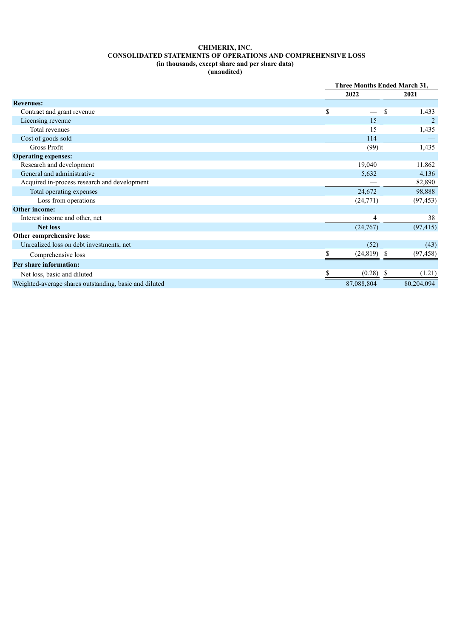## **CHIMERIX, INC. CONSOLIDATED STATEMENTS OF OPERATIONS AND COMPREHENSIVE LOSS (in thousands, except share and per share data)**

**(unaudited)**

|                                                        |            | <b>Three Months Ended March 31,</b> |                |  |
|--------------------------------------------------------|------------|-------------------------------------|----------------|--|
|                                                        | 2022       |                                     | 2021           |  |
| <b>Revenues:</b>                                       |            |                                     |                |  |
| Contract and grant revenue                             | \$         | \$.                                 | 1,433          |  |
| Licensing revenue                                      |            | 15                                  | $\overline{2}$ |  |
| Total revenues                                         |            | 15                                  | 1,435          |  |
| Cost of goods sold                                     | 114        |                                     |                |  |
| Gross Profit                                           | (99)       |                                     | 1,435          |  |
| <b>Operating expenses:</b>                             |            |                                     |                |  |
| Research and development                               | 19,040     |                                     | 11,862         |  |
| General and administrative                             | 5,632      |                                     | 4,136          |  |
| Acquired in-process research and development           |            |                                     | 82,890         |  |
| Total operating expenses                               | 24,672     |                                     | 98,888         |  |
| Loss from operations                                   | (24, 771)  |                                     | (97, 453)      |  |
| Other income:                                          |            |                                     |                |  |
| Interest income and other, net                         |            | 4                                   | 38             |  |
| <b>Net loss</b>                                        | (24, 767)  |                                     | (97, 415)      |  |
| Other comprehensive loss:                              |            |                                     |                |  |
| Unrealized loss on debt investments, net               | (52)       |                                     | (43)           |  |
| Comprehensive loss                                     | (24, 819)  | -S                                  | (97, 458)      |  |
| Per share information:                                 |            |                                     |                |  |
| Net loss, basic and diluted                            | (0.28)     | - 8                                 | (1.21)         |  |
| Weighted-average shares outstanding, basic and diluted | 87,088,804 |                                     | 80,204,094     |  |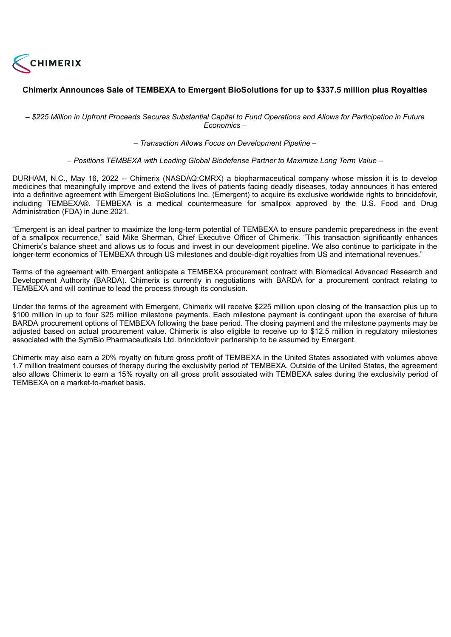<span id="page-9-0"></span>

# **Chimerix Announces Sale of TEMBEXA to Emergent BioSolutions for up to \$337.5 million plus Royalties**

- \$225 Million in Upfront Proceeds Secures Substantial Capital to Fund Operations and Allows for Participation in Future *Economics –*

*– Transaction Allows Focus on Development Pipeline –*

*– Positions TEMBEXA with Leading Global Biodefense Partner to Maximize Long Term Value –*

DURHAM, N.C., May 16, 2022 -- Chimerix (NASDAQ:CMRX) a biopharmaceutical company whose mission it is to develop medicines that meaningfully improve and extend the lives of patients facing deadly diseases, today announces it has entered into a definitive agreement with Emergent BioSolutions Inc. (Emergent) to acquire its exclusive worldwide rights to brincidofovir, including TEMBEXA®. TEMBEXA is a medical countermeasure for smallpox approved by the U.S. Food and Drug Administration (FDA) in June 2021.

"Emergent is an ideal partner to maximize the long-term potential of TEMBEXA to ensure pandemic preparedness in the event of a smallpox recurrence," said Mike Sherman, Chief Executive Officer of Chimerix. "This transaction significantly enhances Chimerix's balance sheet and allows us to focus and invest in our development pipeline. We also continue to participate in the longer-term economics of TEMBEXA through US milestones and double-digit royalties from US and international revenues."

Terms of the agreement with Emergent anticipate a TEMBEXA procurement contract with Biomedical Advanced Research and Development Authority (BARDA). Chimerix is currently in negotiations with BARDA for a procurement contract relating to TEMBEXA and will continue to lead the process through its conclusion.

Under the terms of the agreement with Emergent, Chimerix will receive \$225 million upon closing of the transaction plus up to \$100 million in up to four \$25 million milestone payments. Each milestone payment is contingent upon the exercise of future BARDA procurement options of TEMBEXA following the base period. The closing payment and the milestone payments may be adjusted based on actual procurement value. Chimerix is also eligible to receive up to \$12.5 million in regulatory milestones associated with the SymBio Pharmaceuticals Ltd. brincidofovir partnership to be assumed by Emergent.

Chimerix may also earn a 20% royalty on future gross profit of TEMBEXA in the United States associated with volumes above 1.7 million treatment courses of therapy during the exclusivity period of TEMBEXA. Outside of the United States, the agreement also allows Chimerix to earn a 15% royalty on all gross profit associated with TEMBEXA sales during the exclusivity period of TEMBEXA on a market-to-market basis.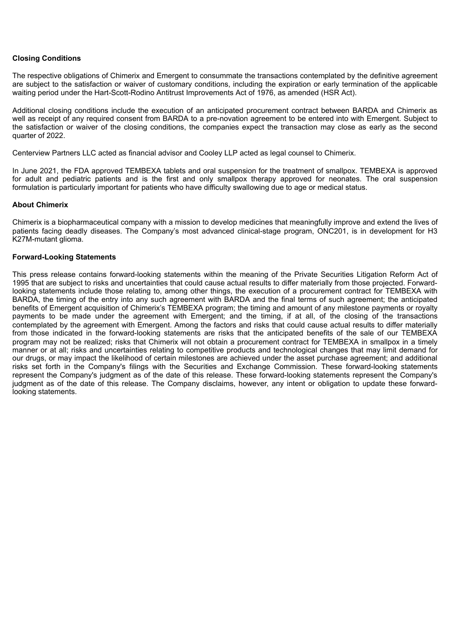## **Closing Conditions**

The respective obligations of Chimerix and Emergent to consummate the transactions contemplated by the definitive agreement are subject to the satisfaction or waiver of customary conditions, including the expiration or early termination of the applicable waiting period under the Hart-Scott-Rodino Antitrust Improvements Act of 1976, as amended (HSR Act).

Additional closing conditions include the execution of an anticipated procurement contract between BARDA and Chimerix as well as receipt of any required consent from BARDA to a pre-novation agreement to be entered into with Emergent. Subject to the satisfaction or waiver of the closing conditions, the companies expect the transaction may close as early as the second quarter of 2022.

Centerview Partners LLC acted as financial advisor and Cooley LLP acted as legal counsel to Chimerix.

In June 2021, the FDA approved TEMBEXA tablets and oral suspension for the treatment of smallpox. TEMBEXA is approved for adult and pediatric patients and is the first and only smallpox therapy approved for neonates. The oral suspension formulation is particularly important for patients who have difficulty swallowing due to age or medical status.

### **About Chimerix**

Chimerix is a biopharmaceutical company with a mission to develop medicines that meaningfully improve and extend the lives of patients facing deadly diseases. The Company's most advanced clinical-stage program, ONC201, is in development for H3 K27M-mutant glioma.

### **Forward-Looking Statements**

This press release contains forward-looking statements within the meaning of the Private Securities Litigation Reform Act of 1995 that are subject to risks and uncertainties that could cause actual results to differ materially from those projected. Forwardlooking statements include those relating to, among other things, the execution of a procurement contract for TEMBEXA with BARDA, the timing of the entry into any such agreement with BARDA and the final terms of such agreement; the anticipated benefits of Emergent acquisition of Chimerix's TEMBEXA program; the timing and amount of any milestone payments or royalty payments to be made under the agreement with Emergent; and the timing, if at all, of the closing of the transactions contemplated by the agreement with Emergent. Among the factors and risks that could cause actual results to differ materially from those indicated in the forward-looking statements are risks that the anticipated benefits of the sale of our TEMBEXA program may not be realized; risks that Chimerix will not obtain a procurement contract for TEMBEXA in smallpox in a timely manner or at all; risks and uncertainties relating to competitive products and technological changes that may limit demand for our drugs, or may impact the likelihood of certain milestones are achieved under the asset purchase agreement; and additional risks set forth in the Company's filings with the Securities and Exchange Commission. These forward-looking statements represent the Company's judgment as of the date of this release. These forward-looking statements represent the Company's judgment as of the date of this release. The Company disclaims, however, any intent or obligation to update these forwardlooking statements.